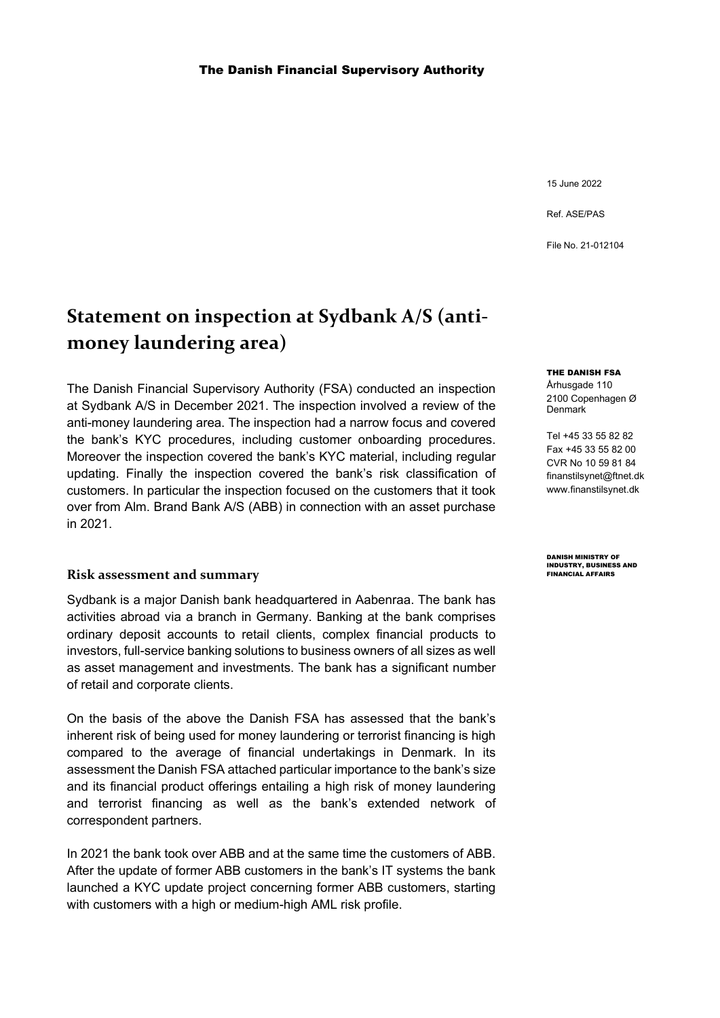15 June 2022

Ref. ASE/PAS

File No. 21-012104

## **Statement on inspection at Sydbank A/S (antimoney laundering area)**

The Danish Financial Supervisory Authority (FSA) conducted an inspection at Sydbank A/S in December 2021. The inspection involved a review of the anti-money laundering area. The inspection had a narrow focus and covered the bank's KYC procedures, including customer onboarding procedures. Moreover the inspection covered the bank's KYC material, including regular updating. Finally the inspection covered the bank's risk classification of customers. In particular the inspection focused on the customers that it took over from Alm. Brand Bank A/S (ABB) in connection with an asset purchase in 2021.

## **Risk assessment and summary**

Sydbank is a major Danish bank headquartered in Aabenraa. The bank has activities abroad via a branch in Germany. Banking at the bank comprises ordinary deposit accounts to retail clients, complex financial products to investors, full-service banking solutions to business owners of all sizes as well as asset management and investments. The bank has a significant number of retail and corporate clients.

On the basis of the above the Danish FSA has assessed that the bank's inherent risk of being used for money laundering or terrorist financing is high compared to the average of financial undertakings in Denmark. In its assessment the Danish FSA attached particular importance to the bank's size and its financial product offerings entailing a high risk of money laundering and terrorist financing as well as the bank's extended network of correspondent partners.

In 2021 the bank took over ABB and at the same time the customers of ABB. After the update of former ABB customers in the bank's IT systems the bank launched a KYC update project concerning former ABB customers, starting with customers with a high or medium-high AML risk profile.

## THE DANISH FSA

Århusgade 110 2100 Copenhagen Ø Denmark

Tel +45 33 55 82 82 Fax +45 33 55 82 00 CVR No 10 59 81 84 [finanstil](mailto:finanstilsynet@ftnet.dk)[synet@ftnet.dk](mailto:synet@ftnet.dk) [www.finanstilsynet.dk](http://www.finanstilsynet.dk/)

DANISH MINISTRY OF INDUSTRY, BUSINESS AND FINANCIAL AFFAIRS